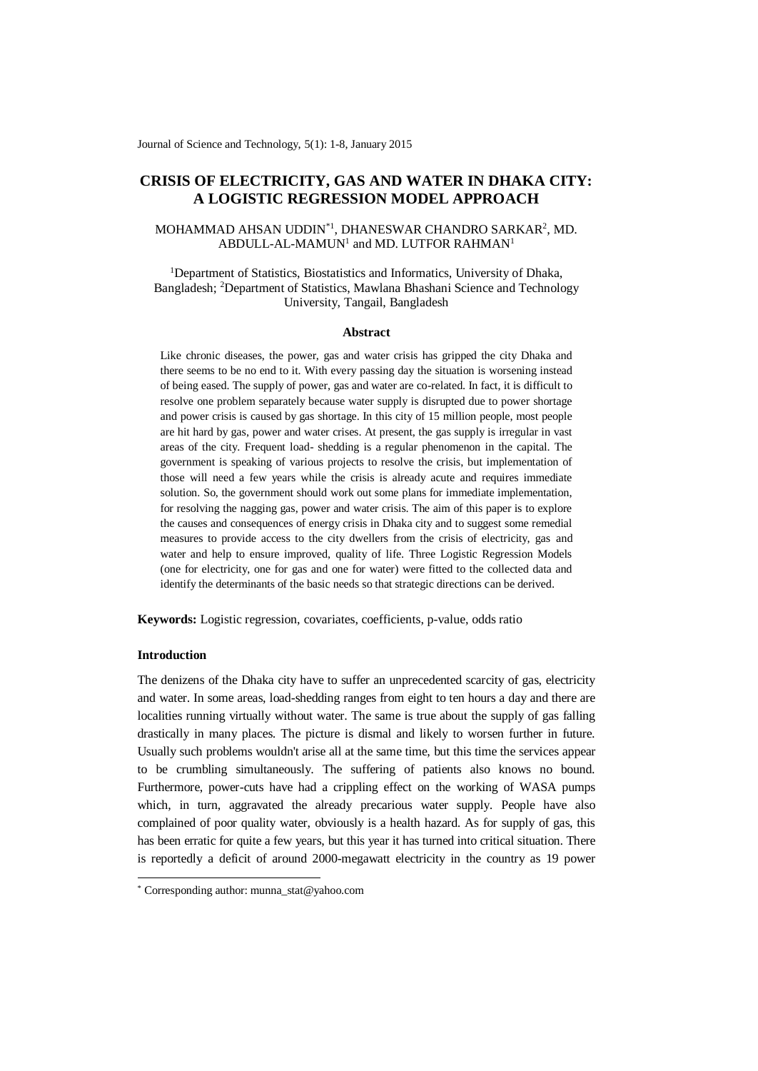Journal of Science and Technology, 5(1): 1-8, January 2015

# **CRISIS OF ELECTRICITY, GAS AND WATER IN DHAKA CITY: A LOGISTIC REGRESSION MODEL APPROACH**

# MOHAMMAD AHSAN UDDIN\*1 , DHANESWAR CHANDRO SARKAR<sup>2</sup> , MD.  $ABDULL-AL-MAMUN<sup>1</sup>$  and MD. LUTFOR RAHMAN<sup>1</sup>

<sup>1</sup>Department of Statistics, Biostatistics and Informatics, University of Dhaka, Bangladesh; <sup>2</sup>Department of Statistics, Mawlana Bhashani Science and Technology University, Tangail, Bangladesh

#### **Abstract**

Like chronic diseases, the power, gas and water crisis has gripped the city Dhaka and there seems to be no end to it. With every passing day the situation is worsening instead of being eased. The supply of power, gas and water are co-related. In fact, it is difficult to resolve one problem separately because water supply is disrupted due to power shortage and power crisis is caused by gas shortage. In this city of 15 million people, most people are hit hard by gas, power and water crises. At present, the gas supply is irregular in vast areas of the city. Frequent load- shedding is a regular phenomenon in the capital. The government is speaking of various projects to resolve the crisis, but implementation of those will need a few years while the crisis is already acute and requires immediate solution. So, the government should work out some plans for immediate implementation, for resolving the nagging gas, power and water crisis. The aim of this paper is to explore the causes and consequences of energy crisis in Dhaka city and to suggest some remedial measures to provide access to the city dwellers from the crisis of electricity, gas and water and help to ensure improved, quality of life. Three Logistic Regression Models (one for electricity, one for gas and one for water) were fitted to the collected data and identify the determinants of the basic needs so that strategic directions can be derived.

**Keywords:** Logistic regression, covariates, coefficients, p-value, odds ratio

# **Introduction**

-

The denizens of the Dhaka city have to suffer an unprecedented scarcity of gas, electricity and water. In some areas, load-shedding ranges from eight to ten hours a day and there are localities running virtually without water. The same is true about the supply of gas falling drastically in many places. The picture is dismal and likely to worsen further in future. Usually such problems wouldn't arise all at the same time, but this time the services appear to be crumbling simultaneously. The suffering of patients also knows no bound. Furthermore, power-cuts have had a crippling effect on the working of WASA pumps which, in turn, aggravated the already precarious water supply. People have also complained of poor quality water, obviously is a health hazard. As for supply of gas, this has been erratic for quite a few years, but this year it has turned into critical situation. There is reportedly a deficit of around 2000-megawatt electricity in the country as 19 power

<sup>\*</sup> Corresponding author: munna\_stat@yahoo.com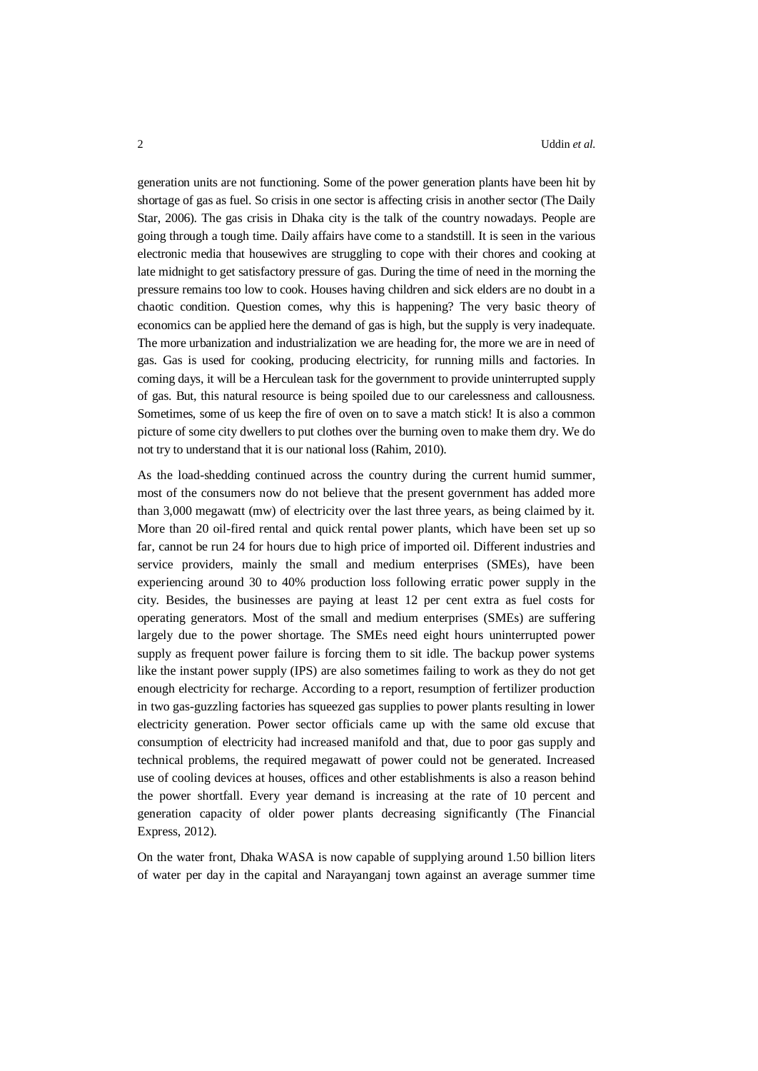generation units are not functioning. Some of the power generation plants have been hit by shortage of gas as fuel. So crisis in one sector is affecting crisis in another sector (The Daily Star, 2006). The gas crisis in Dhaka city is the talk of the country nowadays. People are going through a tough time. Daily affairs have come to a standstill. It is seen in the various electronic media that housewives are struggling to cope with their chores and cooking at late midnight to get satisfactory pressure of gas. During the time of need in the morning the pressure remains too low to cook. Houses having children and sick elders are no doubt in a chaotic condition. Question comes, why this is happening? The very basic theory of economics can be applied here the demand of gas is high, but the supply is very inadequate. The more urbanization and industrialization we are heading for, the more we are in need of gas. Gas is used for cooking, producing electricity, for running mills and factories. In coming days, it will be a Herculean task for the government to provide uninterrupted supply of gas. But, this natural resource is being spoiled due to our carelessness and callousness. Sometimes, some of us keep the fire of oven on to save a match stick! It is also a common picture of some city dwellers to put clothes over the burning oven to make them dry. We do not try to understand that it is our national loss (Rahim, 2010).

As the load-shedding continued across the country during the current humid summer, most of the consumers now do not believe that the present government has added more than 3,000 megawatt (mw) of electricity over the last three years, as being claimed by it. More than 20 oil-fired rental and quick rental power plants, which have been set up so far, cannot be run 24 for hours due to high price of imported oil. Different industries and service providers, mainly the small and medium enterprises (SMEs), have been experiencing around 30 to 40% production loss following erratic power supply in the city. Besides, the businesses are paying at least 12 per cent extra as fuel costs for operating generators. Most of the small and medium enterprises (SMEs) are suffering largely due to the power shortage. The SMEs need eight hours uninterrupted power supply as frequent power failure is forcing them to sit idle. The backup power systems like the instant power supply (IPS) are also sometimes failing to work as they do not get enough electricity for recharge. According to a report, resumption of fertilizer production in two gas-guzzling factories has squeezed gas supplies to power plants resulting in lower electricity generation. Power sector officials came up with the same old excuse that consumption of electricity had increased manifold and that, due to poor gas supply and technical problems, the required megawatt of power could not be generated. Increased use of cooling devices at houses, offices and other establishments is also a reason behind the power shortfall. Every year demand is increasing at the rate of 10 percent and generation capacity of older power plants decreasing significantly (The Financial Express, 2012).

On the water front, Dhaka WASA is now capable of supplying around 1.50 billion liters of water per day in the capital and Narayanganj town against an average summer time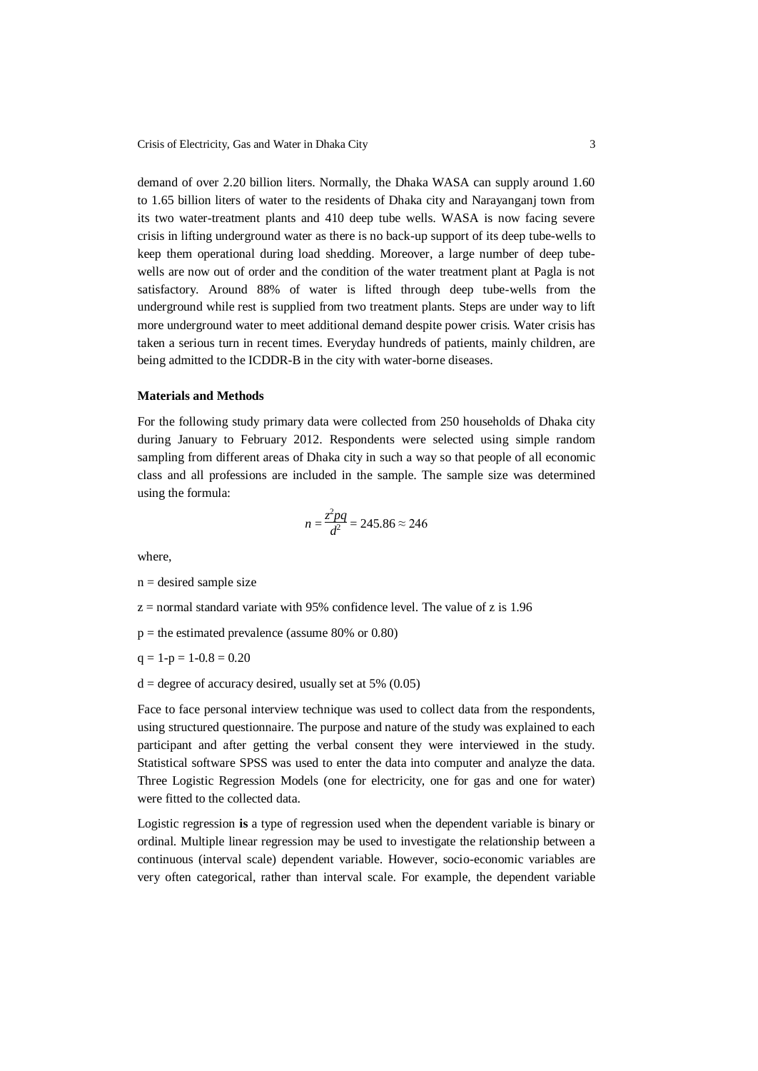demand of over 2.20 billion liters. Normally, the Dhaka WASA can supply around 1.60 to 1.65 billion liters of water to the residents of Dhaka city and Narayanganj town from its two water-treatment plants and 410 deep tube wells. WASA is now facing severe crisis in lifting underground water as there is no back-up support of its deep tube-wells to keep them operational during load shedding. Moreover, a large number of deep tubewells are now out of order and the condition of the water treatment plant at Pagla is not satisfactory. Around 88% of water is lifted through deep tube-wells from the underground while rest is supplied from two treatment plants. Steps are under way to lift more underground water to meet additional demand despite power crisis. Water crisis has taken a serious turn in recent times. Everyday hundreds of patients, mainly children, are being admitted to the ICDDR-B in the city with water-borne diseases.

## **Materials and Methods**

For the following study primary data were collected from 250 households of Dhaka city during January to February 2012. Respondents were selected using simple random sampling from different areas of Dhaka city in such a way so that people of all economic class and all professions are included in the sample. The sample size was determined using the formula:

$$
n = \frac{z^2 pq}{d^2} = 245.86 \approx 246
$$

where,

$$
n = desired sample size
$$

 $z =$  normal standard variate with 95% confidence level. The value of z is 1.96

 $p =$  the estimated prevalence (assume 80% or 0.80)

 $q = 1-p = 1-0.8 = 0.20$ 

 $d =$  degree of accuracy desired, usually set at 5% (0.05)

Face to face personal interview technique was used to collect data from the respondents, using structured questionnaire. The purpose and nature of the study was explained to each participant and after getting the verbal consent they were interviewed in the study. Statistical software SPSS was used to enter the data into computer and analyze the data. Three Logistic Regression Models (one for electricity, one for gas and one for water) were fitted to the collected data.

Logistic regression **is** a type of regression used when the dependent variable is binary or ordinal. Multiple linear regression may be used to investigate the relationship between a continuous (interval scale) dependent variable. However, socio-economic variables are very often categorical, rather than interval scale. For example, the dependent variable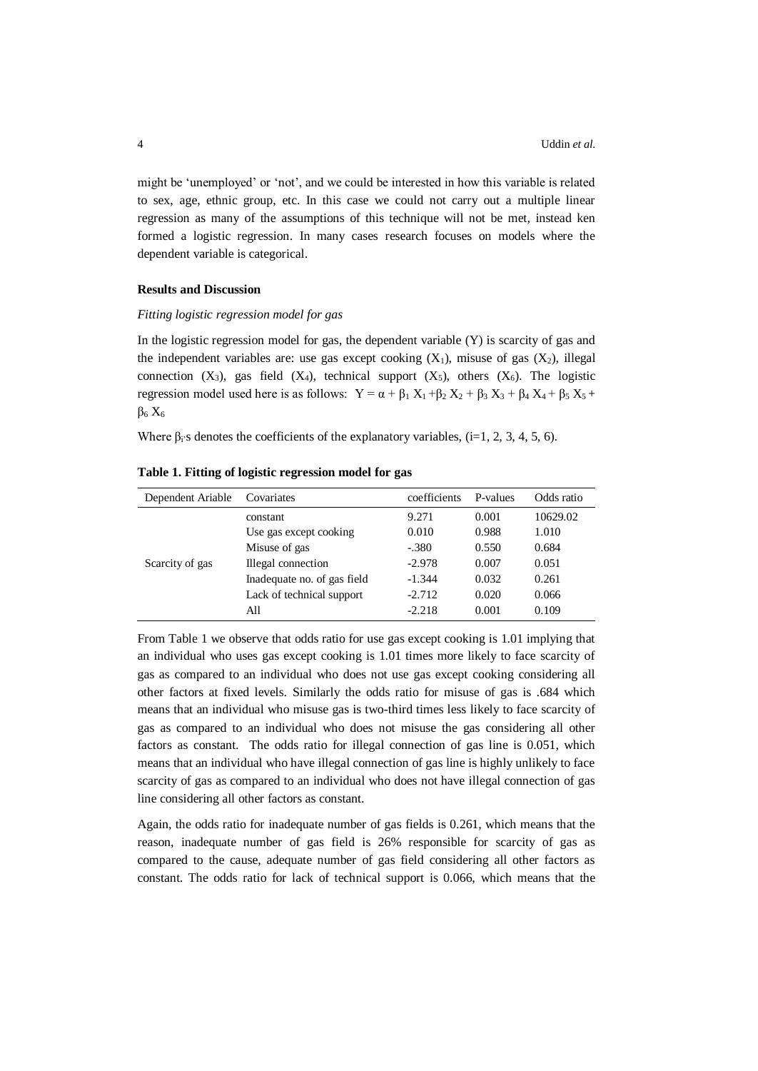might be 'unemployed' or 'not', and we could be interested in how this variable is related to sex, age, ethnic group, etc. In this case we could not carry out a multiple linear regression as many of the assumptions of this technique will not be met, instead ken formed a logistic regression. In many cases research focuses on models where the dependent variable is categorical.

## **Results and Discussion**

## *Fitting logistic regression model for gas*

In the logistic regression model for gas, the dependent variable  $(Y)$  is scarcity of gas and the independent variables are: use gas except cooking  $(X_1)$ , misuse of gas  $(X_2)$ , illegal connection  $(X_3)$ , gas field  $(X_4)$ , technical support  $(X_5)$ , others  $(X_6)$ . The logistic regression model used here is as follows:  $Y = \alpha + \beta_1 X_1 + \beta_2 X_2 + \beta_3 X_3 + \beta_4 X_4 + \beta_5 X_5 +$  $β<sub>6</sub> X<sub>6</sub>$ 

Where  $\beta_i$ 's denotes the coefficients of the explanatory variables, (i=1, 2, 3, 4, 5, 6).

| Dependent Ariable | Covariates                  | coefficients | P-values | Odds ratio |
|-------------------|-----------------------------|--------------|----------|------------|
| Scarcity of gas   | constant                    | 9.271        | 0.001    | 10629.02   |
|                   | Use gas except cooking      | 0.010        | 0.988    | 1.010      |
|                   | Misuse of gas               | $-.380$      | 0.550    | 0.684      |
|                   | Illegal connection          | $-2.978$     | 0.007    | 0.051      |
|                   | Inadequate no. of gas field | $-1.344$     | 0.032    | 0.261      |
|                   | Lack of technical support   | $-2.712$     | 0.020    | 0.066      |
|                   | All                         | $-2.218$     | 0.001    | 0.109      |

**Table 1. Fitting of logistic regression model for gas**

From Table 1 we observe that odds ratio for use gas except cooking is 1.01 implying that an individual who uses gas except cooking is 1.01 times more likely to face scarcity of gas as compared to an individual who does not use gas except cooking considering all other factors at fixed levels. Similarly the odds ratio for misuse of gas is .684 which means that an individual who misuse gas is two-third times less likely to face scarcity of gas as compared to an individual who does not misuse the gas considering all other factors as constant. The odds ratio for illegal connection of gas line is 0.051, which means that an individual who have illegal connection of gas line is highly unlikely to face scarcity of gas as compared to an individual who does not have illegal connection of gas line considering all other factors as constant.

Again, the odds ratio for inadequate number of gas fields is 0.261, which means that the reason, inadequate number of gas field is 26% responsible for scarcity of gas as compared to the cause, adequate number of gas field considering all other factors as constant. The odds ratio for lack of technical support is 0.066, which means that the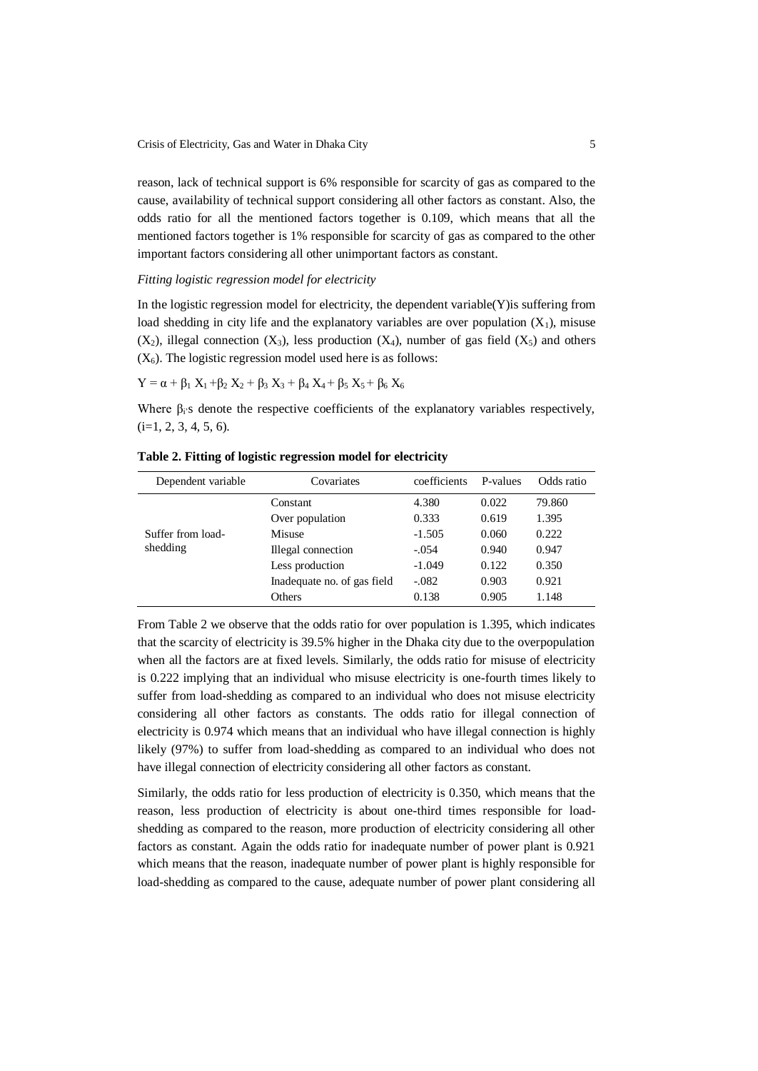reason, lack of technical support is 6% responsible for scarcity of gas as compared to the cause, availability of technical support considering all other factors as constant. Also, the odds ratio for all the mentioned factors together is 0.109, which means that all the mentioned factors together is 1% responsible for scarcity of gas as compared to the other important factors considering all other unimportant factors as constant.

### *Fitting logistic regression model for electricity*

In the logistic regression model for electricity, the dependent variable $(Y)$  is suffering from load shedding in city life and the explanatory variables are over population  $(X_1)$ , misuse  $(X_2)$ , illegal connection  $(X_3)$ , less production  $(X_4)$ , number of gas field  $(X_5)$  and others  $(X<sub>6</sub>)$ . The logistic regression model used here is as follows:

$$
Y = \alpha + \beta_1 X_1 + \beta_2 X_2 + \beta_3 X_3 + \beta_4 X_4 + \beta_5 X_5 + \beta_6 X_6
$$

Where  $\beta_i$ 's denote the respective coefficients of the explanatory variables respectively,  $(i=1, 2, 3, 4, 5, 6).$ 

| Dependent variable | Covariates                  | coefficients | P-values | Odds ratio |
|--------------------|-----------------------------|--------------|----------|------------|
|                    | Constant                    | 4.380        | 0.022    | 79.860     |
|                    | Over population             | 0.333        | 0.619    | 1.395      |
| Suffer from load-  | Misuse                      | $-1.505$     | 0.060    | 0.222      |
| shedding           | Illegal connection          | $-.054$      | 0.940    | 0.947      |
|                    | Less production             | $-1.049$     | 0.122    | 0.350      |
|                    | Inadequate no. of gas field | $-.082$      | 0.903    | 0.921      |
|                    | Others                      | 0.138        | 0.905    | 1.148      |

**Table 2. Fitting of logistic regression model for electricity**

From Table 2 we observe that the odds ratio for over population is 1.395, which indicates that the scarcity of electricity is 39.5% higher in the Dhaka city due to the overpopulation when all the factors are at fixed levels. Similarly, the odds ratio for misuse of electricity is 0.222 implying that an individual who misuse electricity is one-fourth times likely to suffer from load-shedding as compared to an individual who does not misuse electricity considering all other factors as constants. The odds ratio for illegal connection of electricity is 0.974 which means that an individual who have illegal connection is highly likely (97%) to suffer from load-shedding as compared to an individual who does not have illegal connection of electricity considering all other factors as constant.

Similarly, the odds ratio for less production of electricity is 0.350, which means that the reason, less production of electricity is about one-third times responsible for loadshedding as compared to the reason, more production of electricity considering all other factors as constant. Again the odds ratio for inadequate number of power plant is 0.921 which means that the reason, inadequate number of power plant is highly responsible for load-shedding as compared to the cause, adequate number of power plant considering all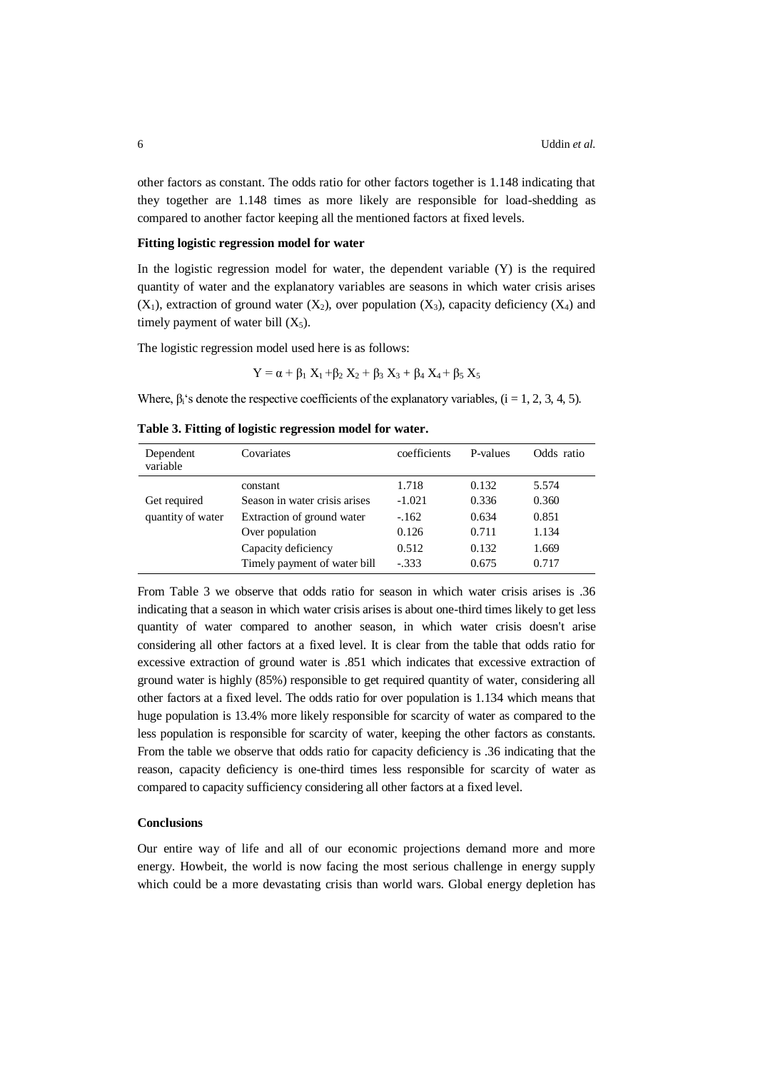other factors as constant. The odds ratio for other factors together is 1.148 indicating that they together are 1.148 times as more likely are responsible for load-shedding as compared to another factor keeping all the mentioned factors at fixed levels.

# **Fitting logistic regression model for water**

In the logistic regression model for water, the dependent variable (Y) is the required quantity of water and the explanatory variables are seasons in which water crisis arises  $(X_1)$ , extraction of ground water  $(X_2)$ , over population  $(X_3)$ , capacity deficiency  $(X_4)$  and timely payment of water bill  $(X_5)$ .

The logistic regression model used here is as follows:

$$
Y = \alpha + \beta_1 X_1 + \beta_2 X_2 + \beta_3 X_3 + \beta_4 X_4 + \beta_5 X_5
$$

Where,  $\beta_i$ 's denote the respective coefficients of the explanatory variables, (i = 1, 2, 3, 4, 5).

**Table 3. Fitting of logistic regression model for water.**

| Dependent<br>variable             | Covariates                    | coefficients | P-values | Odds ratio |
|-----------------------------------|-------------------------------|--------------|----------|------------|
|                                   | constant                      | 1.718        | 0.132    | 5.574      |
| Get required<br>quantity of water | Season in water crisis arises | $-1.021$     | 0.336    | 0.360      |
|                                   | Extraction of ground water    | $-.162$      | 0.634    | 0.851      |
|                                   | Over population               | 0.126        | 0.711    | 1.134      |
|                                   | Capacity deficiency           | 0.512        | 0.132    | 1.669      |
|                                   | Timely payment of water bill  | $-.333$      | 0.675    | 0.717      |

From Table 3 we observe that odds ratio for season in which water crisis arises is .36 indicating that a season in which water crisis arises is about one-third times likely to get less quantity of water compared to another season, in which water crisis doesn't arise considering all other factors at a fixed level. It is clear from the table that odds ratio for excessive extraction of ground water is .851 which indicates that excessive extraction of ground water is highly (85%) responsible to get required quantity of water, considering all other factors at a fixed level. The odds ratio for over population is 1.134 which means that huge population is 13.4% more likely responsible for scarcity of water as compared to the less population is responsible for scarcity of water, keeping the other factors as constants. From the table we observe that odds ratio for capacity deficiency is .36 indicating that the reason, capacity deficiency is one-third times less responsible for scarcity of water as compared to capacity sufficiency considering all other factors at a fixed level.

#### **Conclusions**

Our entire way of life and all of our economic projections demand more and more energy. Howbeit, the world is now facing the most serious challenge in energy supply which could be a more devastating crisis than world wars. Global energy depletion has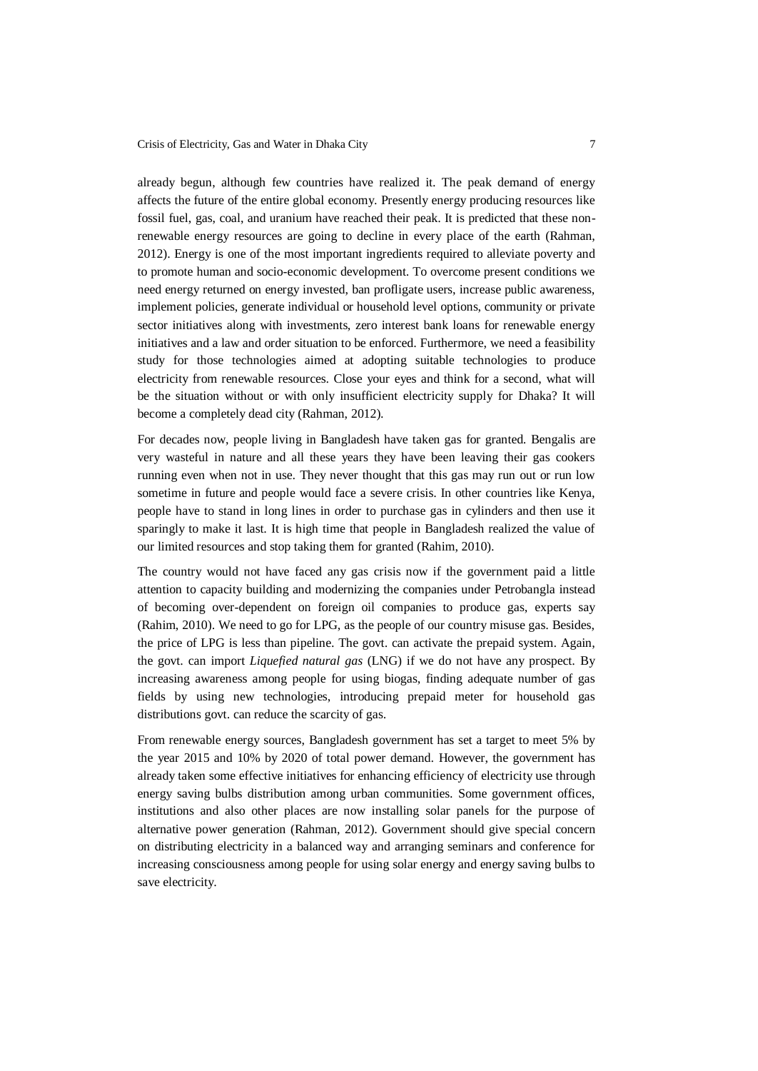already begun, although few countries have realized it. The peak demand of energy affects the future of the entire global economy. Presently energy producing resources like fossil fuel, gas, coal, and uranium have reached their peak. It is predicted that these nonrenewable energy resources are going to decline in every place of the earth (Rahman, 2012). Energy is one of the most important ingredients required to alleviate poverty and to promote human and socio-economic development. To overcome present conditions we need energy returned on energy invested, ban profligate users, increase public awareness, implement policies, generate individual or household level options, community or private sector initiatives along with investments, zero interest bank loans for renewable energy initiatives and a law and order situation to be enforced. Furthermore, we need a feasibility study for those technologies aimed at adopting suitable technologies to produce electricity from renewable resources. Close your eyes and think for a second, what will be the situation without or with only insufficient electricity supply for Dhaka? It will become a completely dead city (Rahman, 2012).

For decades now, people living in Bangladesh have taken gas for granted. Bengalis are very wasteful in nature and all these years they have been leaving their gas cookers running even when not in use. They never thought that this gas may run out or run low sometime in future and people would face a severe crisis. In other countries like Kenya, people have to stand in long lines in order to purchase gas in cylinders and then use it sparingly to make it last. It is high time that people in Bangladesh realized the value of our limited resources and stop taking them for granted (Rahim, 2010).

The country would not have faced any gas crisis now if the government paid a little attention to capacity building and modernizing the companies under Petrobangla instead of becoming over-dependent on foreign oil companies to produce gas, experts say (Rahim, 2010). We need to go for LPG, as the people of our country misuse gas. Besides, the price of LPG is less than pipeline. The govt. can activate the prepaid system. Again, the govt. can import *Liquefied natural gas* (LNG) if we do not have any prospect. By increasing awareness among people for using biogas, finding adequate number of gas fields by using new technologies, introducing prepaid meter for household gas distributions govt. can reduce the scarcity of gas.

From renewable energy sources, Bangladesh government has set a target to meet 5% by the year 2015 and 10% by 2020 of total power demand. However, the government has already taken some effective initiatives for enhancing efficiency of electricity use through energy saving bulbs distribution among urban communities. Some government offices, institutions and also other places are now installing solar panels for the purpose of alternative power generation (Rahman, 2012). Government should give special concern on distributing electricity in a balanced way and arranging seminars and conference for increasing consciousness among people for using solar energy and energy saving bulbs to save electricity.